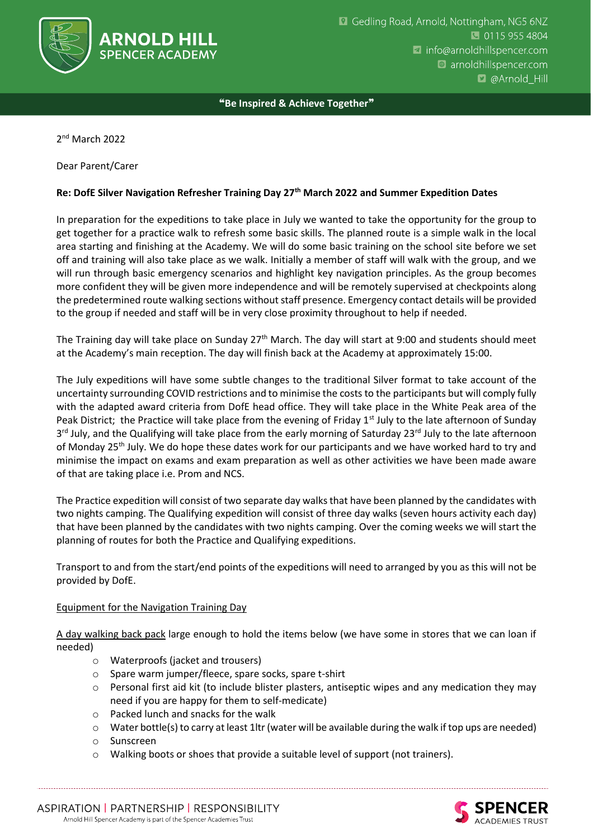

❝**Be Inspired & Achieve Together**❞

2 nd March 2022

Dear Parent/Carer

## **Re: DofE Silver Navigation Refresher Training Day 27th March 2022 and Summer Expedition Dates**

In preparation for the expeditions to take place in July we wanted to take the opportunity for the group to get together for a practice walk to refresh some basic skills. The planned route is a simple walk in the local area starting and finishing at the Academy. We will do some basic training on the school site before we set off and training will also take place as we walk. Initially a member of staff will walk with the group, and we will run through basic emergency scenarios and highlight key navigation principles. As the group becomes more confident they will be given more independence and will be remotely supervised at checkpoints along the predetermined route walking sections without staff presence. Emergency contact details will be provided to the group if needed and staff will be in very close proximity throughout to help if needed.

The Training day will take place on Sunday 27<sup>th</sup> March. The day will start at 9:00 and students should meet at the Academy's main reception. The day will finish back at the Academy at approximately 15:00.

The July expeditions will have some subtle changes to the traditional Silver format to take account of the uncertainty surrounding COVID restrictions and to minimise the costs to the participants but will comply fully with the adapted award criteria from DofE head office. They will take place in the White Peak area of the Peak District; the Practice will take place from the evening of Friday  $1<sup>st</sup>$  July to the late afternoon of Sunday 3<sup>rd</sup> July, and the Qualifying will take place from the early morning of Saturday 23<sup>rd</sup> July to the late afternoon of Monday 25<sup>th</sup> July. We do hope these dates work for our participants and we have worked hard to try and minimise the impact on exams and exam preparation as well as other activities we have been made aware of that are taking place i.e. Prom and NCS.

The Practice expedition will consist of two separate day walks that have been planned by the candidates with two nights camping. The Qualifying expedition will consist of three day walks (seven hours activity each day) that have been planned by the candidates with two nights camping. Over the coming weeks we will start the planning of routes for both the Practice and Qualifying expeditions.

Transport to and from the start/end points of the expeditions will need to arranged by you as this will not be provided by DofE.

## Equipment for the Navigation Training Day

A day walking back pack large enough to hold the items below (we have some in stores that we can loan if needed)

- o Waterproofs (jacket and trousers)
- o Spare warm jumper/fleece, spare socks, spare t-shirt
- o Personal first aid kit (to include blister plasters, antiseptic wipes and any medication they may need if you are happy for them to self-medicate)
- o Packed lunch and snacks for the walk
- $\circ$  Water bottle(s) to carry at least 1ltr (water will be available during the walk if top ups are needed)
- o Sunscreen
- o Walking boots or shoes that provide a suitable level of support (not trainers).

ASPIRATION | PARTNERSHIP | RESPONSIBILITY Arnold Hill Spencer Academy is part of the Spencer Academies Trust